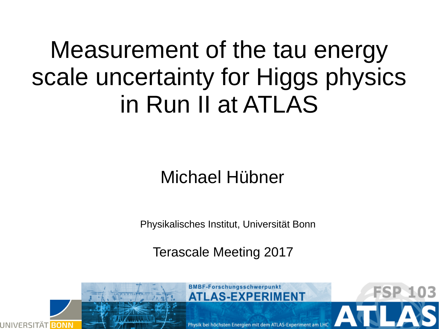#### Measurement of the tau energy scale uncertainty for Higgs physics in Run II at ATLAS

#### Michael Hübner

Physikalisches Institut, Universität Bonn

Terascale Meeting 2017

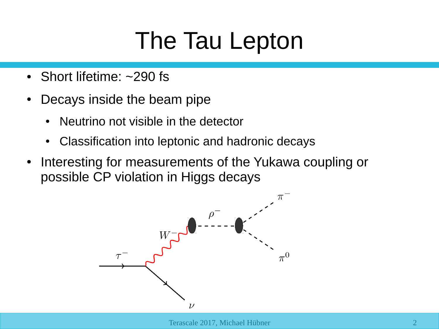#### The Tau Lepton

- Short lifetime:  $\sim$ 290 fs
- Decays inside the beam pipe
	- Neutrino not visible in the detector
	- Classification into leptonic and hadronic decays
- Interesting for measurements of the Yukawa coupling or possible CP violation in Higgs decays

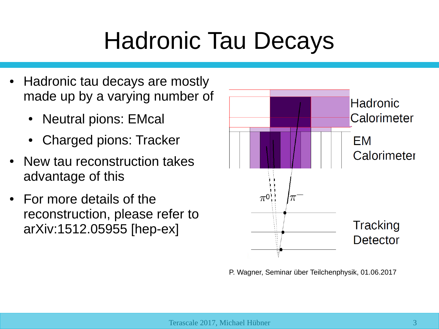#### Hadronic Tau Decays

- Hadronic tau decays are mostly made up by a varying number of
	- Neutral pions: EMcal
	- Charged pions: Tracker
- New tau reconstruction takes advantage of this
- For more details of the reconstruction, please refer to arXiv:1512.05955 [hep-ex]



P. Wagner, Seminar über Teilchenphysik, 01.06.2017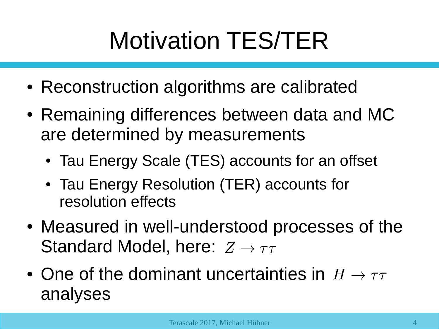## Motivation TES/TER

- Reconstruction algorithms are calibrated
- Remaining differences between data and MC are determined by measurements
	- Tau Energy Scale (TES) accounts for an offset
	- Tau Energy Resolution (TER) accounts for resolution effects
- Measured in well-understood processes of the Standard Model, here:  $Z \rightarrow \tau \tau$
- One of the dominant uncertainties in  $H \to \tau\tau$ analyses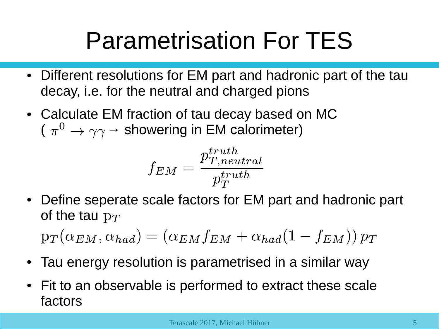#### Parametrisation For TES

- Different resolutions for EM part and hadronic part of the tau decay, i.e. for the neutral and charged pions
- Calculate EM fraction of tau decay based on MC  $(\pi^0 \rightarrow \gamma \gamma \rightarrow$  showering in EM calorimeter)

$$
f_{EM} = \frac{p_{T,neutral}^{truth}}{p_T^{truth}}
$$

• Define seperate scale factors for EM part and hadronic part of the tau  $p_T$ 

 $p_T(\alpha_{EM}, \alpha_{had}) = (\alpha_{EM} f_{EM} + \alpha_{had}(1 - f_{EM})) p_T$ 

- Tau energy resolution is parametrised in a similar way
- Fit to an observable is performed to extract these scale factors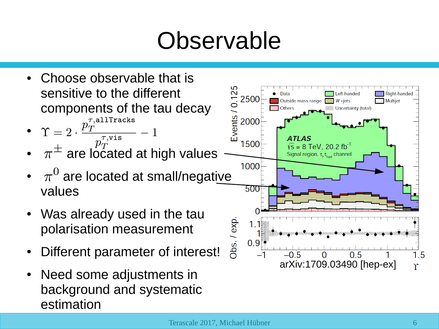#### Observable

- Choose observable that is sensitive to the different components of the tau decay •  $\Upsilon = 2 \cdot \frac{p_T^{\tau, \text{alltracks}}}{T}$
- $\Upsilon = 2 \cdot \frac{p_T}{p_T^{\tau, \text{vis}}} 1$ <br>  $\pi^{\pm}$  are located at high values
- 
- $\pi^0$  are located at small/negative values
- Was already used in the tau polarisation measurement
- Different parameter of interest!
- Need some adjustments in background and systematic estimation

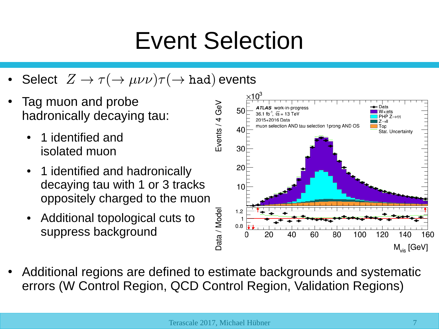#### Event Selection

- Select  $Z \to \tau(\to \mu\nu\nu)\tau(\to had)$  events
- Tag muon and probe hadronically decaying tau:
	- 1 identified and isolated muon
	- 1 identified and hadronically decaying tau with 1 or 3 tracks oppositely charged to the muon
	- Additional topological cuts to suppress background



Additional regions are defined to estimate backgrounds and systematic errors (W Control Region, QCD Control Region, Validation Regions)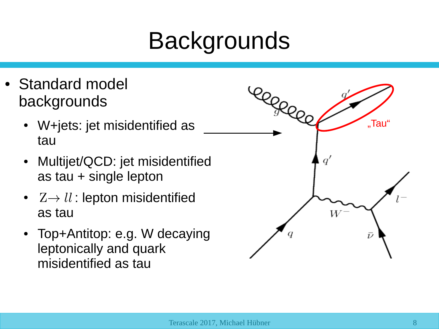- Standard model backgrounds
	- W+jets: jet misidentified as tau
	- Multijet/QCD: jet misidentified as tau + single lepton
	- $Z \rightarrow ll$ : lepton misidentified as tau
	- Top+Antitop: e.g. W decaying leptonically and quark misidentified as tau

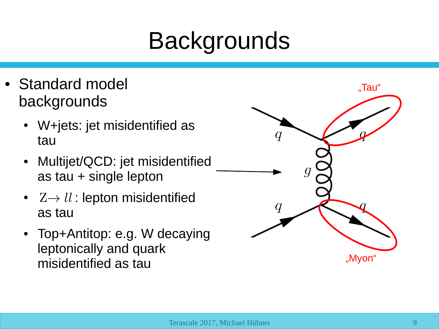- Standard model backgrounds
	- W+jets: jet misidentified as tau
	- Multijet/QCD: jet misidentified as tau + single lepton
	- $Z \rightarrow \mathit{ll}$  : lepton misidentified as tau
	- Top+Antitop: e.g. W decaying leptonically and quark misidentified as tau

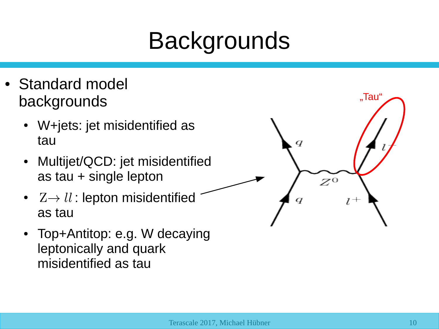- Standard model backgrounds
	- W+jets: jet misidentified as tau
	- Multijet/QCD: jet misidentified as tau + single lepton
	- $Z \rightarrow ll$ : lepton misidentified as tau
	- Top+Antitop: e.g. W decaying leptonically and quark misidentified as tau

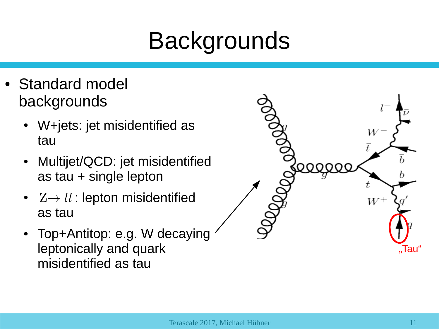- Standard model backgrounds
	- W+jets: jet misidentified as tau
	- Multijet/QCD: jet misidentified as tau + single lepton
	- $Z \rightarrow \mathit{ll}$  : lepton misidentified as tau
	- Top+Antitop: e.g. W decaying leptonically and quark misidentified as tau

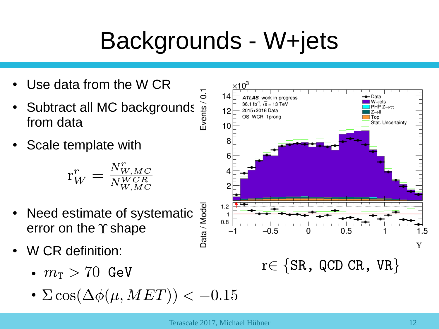#### Backgrounds - W+jets

- Use data from the W CR
- Subtract all MC backgrounds  $\frac{55}{9}$ <br>from data from data
- Scale template with

$$
\mathbf{r}_W^r = \tfrac{N_{W,MC}^r}{N_{W,MC}^{WCR}}
$$

- Need estimate of systematic error on the  $\Upsilon$  shape
- W CR definition:
	- $m_{\text{T}} > 70$  GeV
	- $\Sigma \cos(\Delta \phi(\mu, MET)) < -0.15$

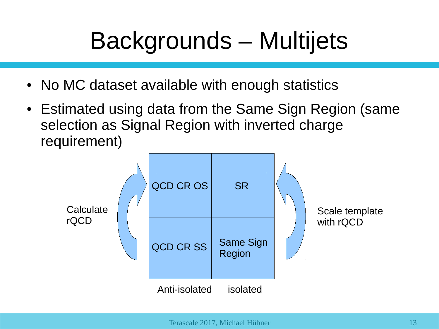### Backgrounds – Multijets

- No MC dataset available with enough statistics
- Estimated using data from the Same Sign Region (same selection as Signal Region with inverted charge requirement)

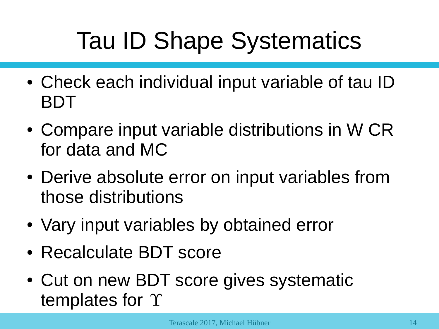- Check each individual input variable of tau ID BDT
- Compare input variable distributions in W CR for data and MC
- Derive absolute error on input variables from those distributions
- Vary input variables by obtained error
- Recalculate BDT score
- Cut on new BDT score gives systematic templates for  $\Upsilon$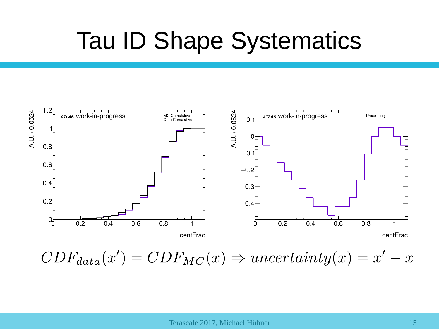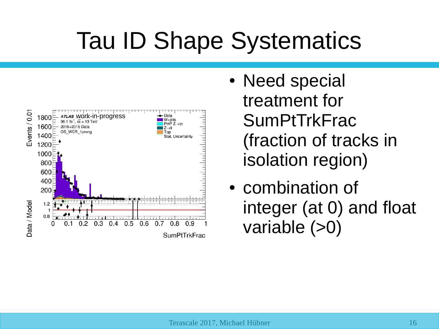

- Need special treatment for **SumPtTrkFrac** (fraction of tracks in isolation region)
- combination of integer (at 0) and float variable (>0)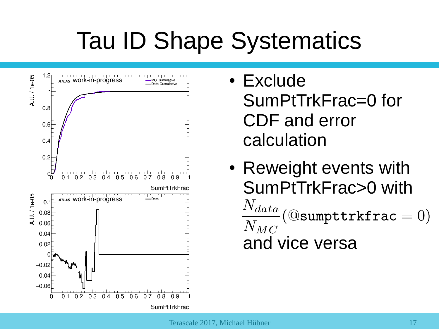

- Exclude SumPtTrkFrac=0 for CDF and error calculation
- Reweight events with SumPtTrkFrac>0 with  $\frac{N_{data}}{N_{MC}}$ (@sumpttrkfrac = 0)  $N_{MC}$ and vice versa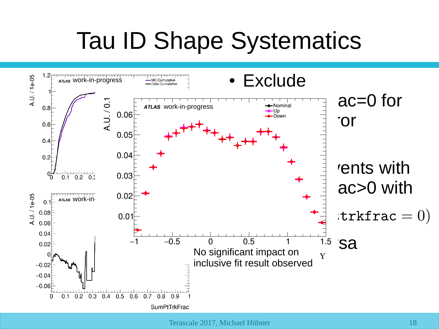![](_page_17_Figure_1.jpeg)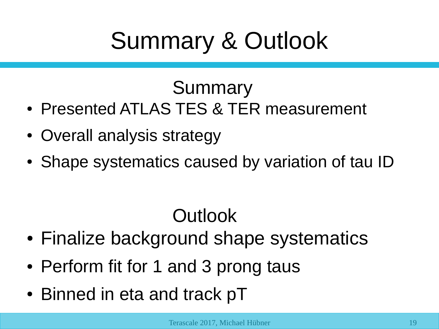#### Summary & Outlook

#### Summary

- Presented ATLAS TES & TER measurement
- Overall analysis strategy
- Shape systematics caused by variation of tau ID

#### **Outlook**

- Finalize background shape systematics
- Perform fit for 1 and 3 prong taus
- Binned in eta and track pT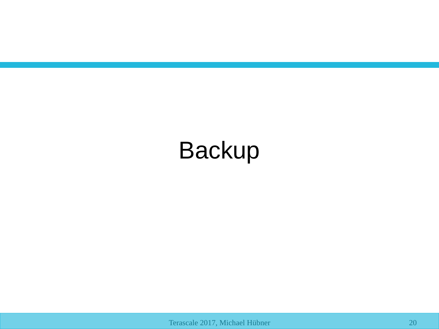#### Backup